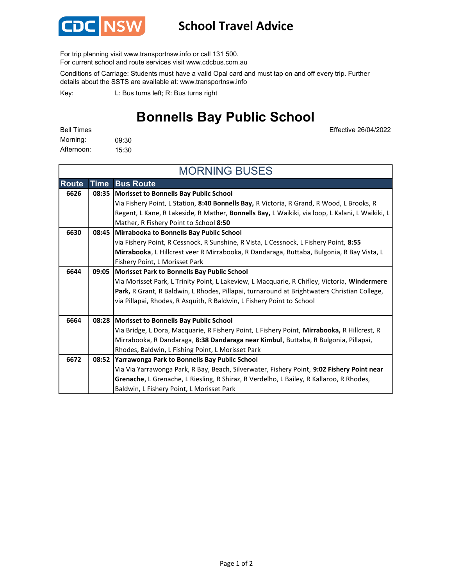

## School Travel Advice

For trip planning visit www.transportnsw.info or call 131 500.

For current school and route services visit www.cdcbus.com.au

Conditions of Carriage: Students must have a valid Opal card and must tap on and off every trip. Further details about the SSTS are available at: www.transportnsw.info

L: Bus turns left; R: Bus turns right Key:

## Bonnells Bay Public School

Effective 26/04/2022

| Bell Times |       |
|------------|-------|
| Morning:   | 09:30 |
| Afternoon: | 15:30 |

| <b>MORNING BUSES</b> |             |                                                                                                 |  |
|----------------------|-------------|-------------------------------------------------------------------------------------------------|--|
| <b>Route</b>         | <b>Time</b> | <b>Bus Route</b>                                                                                |  |
| 6626                 | 08:35       | Morisset to Bonnells Bay Public School                                                          |  |
|                      |             | Via Fishery Point, L Station, 8:40 Bonnells Bay, R Victoria, R Grand, R Wood, L Brooks, R       |  |
|                      |             | Regent, L Kane, R Lakeside, R Mather, Bonnells Bay, L Waikiki, via loop, L Kalani, L Waikiki, L |  |
|                      |             | Mather, R Fishery Point to School 8:50                                                          |  |
| 6630                 | 08:45       | Mirrabooka to Bonnells Bay Public School                                                        |  |
|                      |             | via Fishery Point, R Cessnock, R Sunshine, R Vista, L Cessnock, L Fishery Point, 8:55           |  |
|                      |             | Mirrabooka, L Hillcrest veer R Mirrabooka, R Dandaraga, Buttaba, Bulgonia, R Bay Vista, L       |  |
|                      |             | Fishery Point, L Morisset Park                                                                  |  |
| 6644                 | 09:05       | <b>Morisset Park to Bonnells Bay Public School</b>                                              |  |
|                      |             | Via Morisset Park, L Trinity Point, L Lakeview, L Macquarie, R Chifley, Victoria, Windermere    |  |
|                      |             | Park, R Grant, R Baldwin, L Rhodes, Pillapai, turnaround at Brightwaters Christian College,     |  |
|                      |             | via Pillapai, Rhodes, R Asquith, R Baldwin, L Fishery Point to School                           |  |
|                      |             |                                                                                                 |  |
| 6664                 | 08:28       | Morisset to Bonnells Bay Public School                                                          |  |
|                      |             | Via Bridge, L Dora, Macquarie, R Fishery Point, L Fishery Point, Mirrabooka, R Hillcrest, R     |  |
|                      |             | Mirrabooka, R Dandaraga, 8:38 Dandaraga near Kimbul, Buttaba, R Bulgonia, Pillapai,             |  |
|                      |             | Rhodes, Baldwin, L Fishing Point, L Morisset Park                                               |  |
| 6672                 |             | 08:52 Yarrawonga Park to Bonnells Bay Public School                                             |  |
|                      |             | Via Via Yarrawonga Park, R Bay, Beach, Silverwater, Fishery Point, 9:02 Fishery Point near      |  |
|                      |             | Grenache, L Grenache, L Riesling, R Shiraz, R Verdelho, L Bailey, R Kallaroo, R Rhodes,         |  |
|                      |             | Baldwin, L Fishery Point, L Morisset Park                                                       |  |